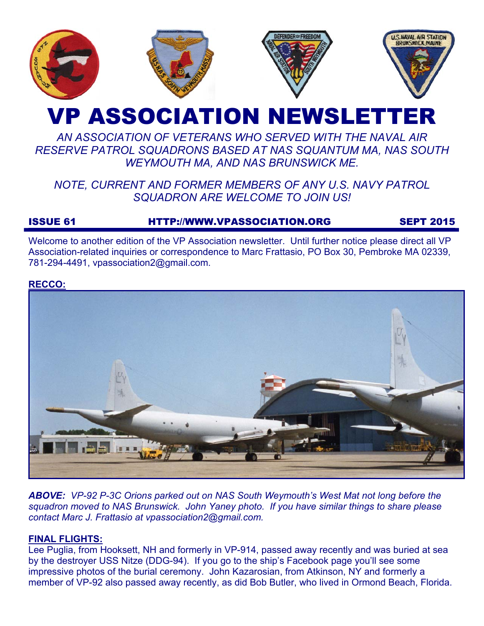

# VP ASSOCIATION NEWSLETTER

## *AN ASSOCIATION OF VETERANS WHO SERVED WITH THE NAVAL AIR RESERVE PATROL SQUADRONS BASED AT NAS SQUANTUM MA, NAS SOUTH WEYMOUTH MA, AND NAS BRUNSWICK ME.*

## *NOTE, CURRENT AND FORMER MEMBERS OF ANY U.S. NAVY PATROL SQUADRON ARE WELCOME TO JOIN US!*

## ISSUE 61 HTTP://WWW.VPASSOCIATION.ORG SEPT 2015

Welcome to another edition of the VP Association newsletter. Until further notice please direct all VP Association-related inquiries or correspondence to Marc Frattasio, PO Box 30, Pembroke MA 02339, 781-294-4491, vpassociation2@gmail.com.

#### **RECCO:**



*ABOVE: VP-92 P-3C Orions parked out on NAS South Weymouth's West Mat not long before the squadron moved to NAS Brunswick. John Yaney photo. If you have similar things to share please contact Marc J. Frattasio at vpassociation2@gmail.com.* 

#### **FINAL FLIGHTS:**

Lee Puglia, from Hooksett, NH and formerly in VP-914, passed away recently and was buried at sea by the destroyer USS Nitze (DDG-94). If you go to the ship's Facebook page you'll see some impressive photos of the burial ceremony. John Kazarosian, from Atkinson, NY and formerly a member of VP-92 also passed away recently, as did Bob Butler, who lived in Ormond Beach, Florida.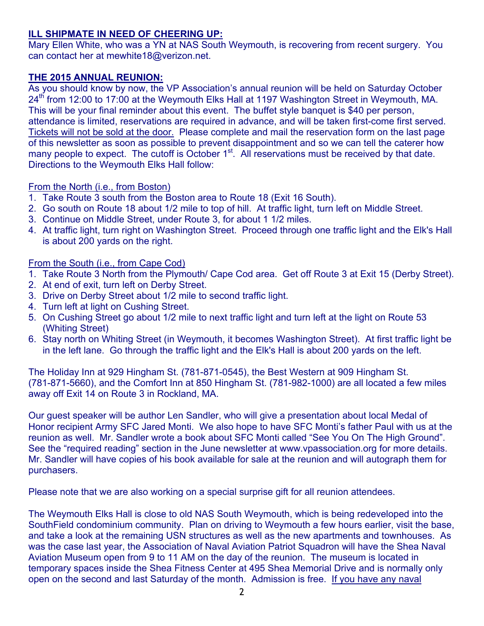#### **ILL SHIPMATE IN NEED OF CHEERING UP:**

Mary Ellen White, who was a YN at NAS South Weymouth, is recovering from recent surgery. You can contact her at mewhite18@verizon.net.

#### **THE 2015 ANNUAL REUNION:**

As you should know by now, the VP Association's annual reunion will be held on Saturday October 24<sup>th</sup> from 12:00 to 17:00 at the Weymouth Elks Hall at 1197 Washington Street in Weymouth, MA. This will be your final reminder about this event. The buffet style banquet is \$40 per person, attendance is limited, reservations are required in advance, and will be taken first-come first served. Tickets will not be sold at the door. Please complete and mail the reservation form on the last page of this newsletter as soon as possible to prevent disappointment and so we can tell the caterer how many people to expect. The cutoff is October  $1<sup>st</sup>$ . All reservations must be received by that date. Directions to the Weymouth Elks Hall follow:

#### From the North (i.e., from Boston)

- 1. Take Route 3 south from the Boston area to Route 18 (Exit 16 South).
- 2. Go south on Route 18 about 1/2 mile to top of hill. At traffic light, turn left on Middle Street.
- 3. Continue on Middle Street, under Route 3, for about 1 1/2 miles.
- 4. At traffic light, turn right on Washington Street. Proceed through one traffic light and the Elk's Hall is about 200 yards on the right.

#### From the South (i.e., from Cape Cod)

- 1. Take Route 3 North from the Plymouth/ Cape Cod area. Get off Route 3 at Exit 15 (Derby Street).
- 2. At end of exit, turn left on Derby Street.
- 3. Drive on Derby Street about 1/2 mile to second traffic light.
- 4. Turn left at light on Cushing Street.
- 5. On Cushing Street go about 1/2 mile to next traffic light and turn left at the light on Route 53 (Whiting Street)
- 6. Stay north on Whiting Street (in Weymouth, it becomes Washington Street). At first traffic light be in the left lane. Go through the traffic light and the Elk's Hall is about 200 yards on the left.

The Holiday Inn at 929 Hingham St. (781-871-0545), the Best Western at 909 Hingham St. (781-871-5660), and the Comfort Inn at 850 Hingham St. (781-982-1000) are all located a few miles away off Exit 14 on Route 3 in Rockland, MA.

Our guest speaker will be author Len Sandler, who will give a presentation about local Medal of Honor recipient Army SFC Jared Monti. We also hope to have SFC Monti's father Paul with us at the reunion as well. Mr. Sandler wrote a book about SFC Monti called "See You On The High Ground". See the "required reading" section in the June newsletter at www.vpassociation.org for more details. Mr. Sandler will have copies of his book available for sale at the reunion and will autograph them for purchasers.

Please note that we are also working on a special surprise gift for all reunion attendees.

The Weymouth Elks Hall is close to old NAS South Weymouth, which is being redeveloped into the SouthField condominium community. Plan on driving to Weymouth a few hours earlier, visit the base, and take a look at the remaining USN structures as well as the new apartments and townhouses. As was the case last year, the Association of Naval Aviation Patriot Squadron will have the Shea Naval Aviation Museum open from 9 to 11 AM on the day of the reunion. The museum is located in temporary spaces inside the Shea Fitness Center at 495 Shea Memorial Drive and is normally only open on the second and last Saturday of the month. Admission is free. If you have any naval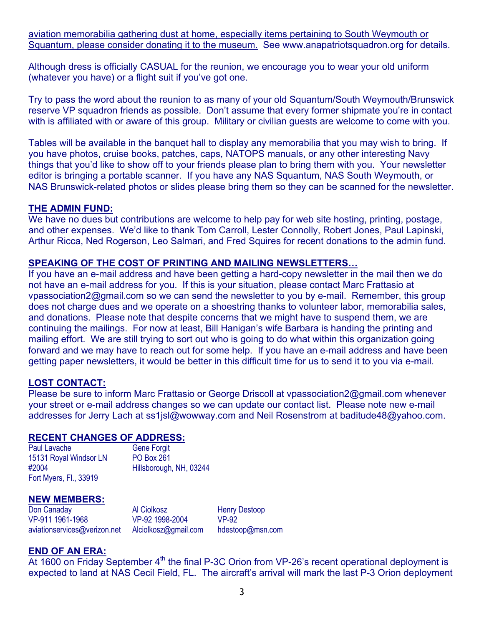aviation memorabilia gathering dust at home, especially items pertaining to South Weymouth or Squantum, please consider donating it to the museum. See www.anapatriotsquadron.org for details.

Although dress is officially CASUAL for the reunion, we encourage you to wear your old uniform (whatever you have) or a flight suit if you've got one.

Try to pass the word about the reunion to as many of your old Squantum/South Weymouth/Brunswick reserve VP squadron friends as possible. Don't assume that every former shipmate you're in contact with is affiliated with or aware of this group. Military or civilian guests are welcome to come with you.

Tables will be available in the banquet hall to display any memorabilia that you may wish to bring. If you have photos, cruise books, patches, caps, NATOPS manuals, or any other interesting Navy things that you'd like to show off to your friends please plan to bring them with you. Your newsletter editor is bringing a portable scanner. If you have any NAS Squantum, NAS South Weymouth, or NAS Brunswick-related photos or slides please bring them so they can be scanned for the newsletter.

#### **THE ADMIN FUND:**

We have no dues but contributions are welcome to help pay for web site hosting, printing, postage, and other expenses. We'd like to thank Tom Carroll, Lester Connolly, Robert Jones, Paul Lapinski, Arthur Ricca, Ned Rogerson, Leo Salmari, and Fred Squires for recent donations to the admin fund.

#### **SPEAKING OF THE COST OF PRINTING AND MAILING NEWSLETTERS…**

If you have an e-mail address and have been getting a hard-copy newsletter in the mail then we do not have an e-mail address for you. If this is your situation, please contact Marc Frattasio at vpassociation2@gmail.com so we can send the newsletter to you by e-mail. Remember, this group does not charge dues and we operate on a shoestring thanks to volunteer labor, memorabilia sales, and donations. Please note that despite concerns that we might have to suspend them, we are continuing the mailings. For now at least, Bill Hanigan's wife Barbara is handing the printing and mailing effort. We are still trying to sort out who is going to do what within this organization going forward and we may have to reach out for some help. If you have an e-mail address and have been getting paper newsletters, it would be better in this difficult time for us to send it to you via e-mail.

#### **LOST CONTACT:**

Please be sure to inform Marc Frattasio or George Driscoll at vpassociation2@gmail.com whenever your street or e-mail address changes so we can update our contact list. Please note new e-mail addresses for Jerry Lach at ss1jsl@wowway.com and Neil Rosenstrom at baditude48@yahoo.com.

#### **RECENT CHANGES OF ADDRESS:**

| Paul Lavache           | <b>Gene Forgit</b>      |
|------------------------|-------------------------|
| 15131 Royal Windsor LN | <b>PO Box 261</b>       |
| #2004                  | Hillsborough, NH, 03244 |
| Fort Myers, Fl., 33919 |                         |

#### **NEW MEMBERS:**

Don Canaday VP-911 1961-1968 aviationservices@verizon.net Alciolkosz@gmail.com Al Ciolkosz VP-92 1998-2004

Henry Destoop VP-92 hdestoop@msn.com

#### **END OF AN ERA:**

At 1600 on Friday September 4<sup>th</sup> the final P-3C Orion from VP-26's recent operational deployment is expected to land at NAS Cecil Field, FL. The aircraft's arrival will mark the last P-3 Orion deployment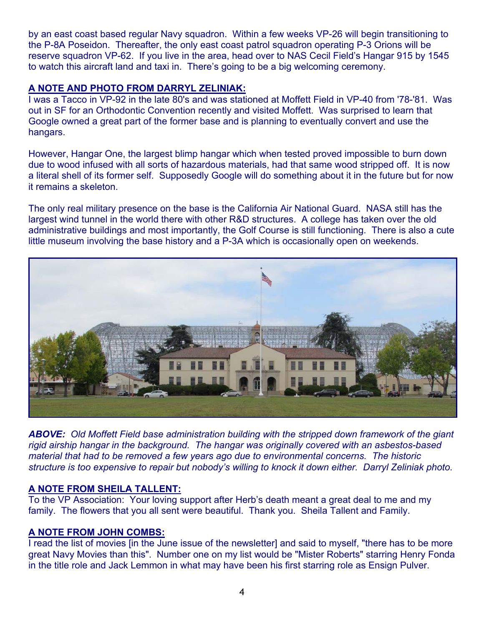by an east coast based regular Navy squadron. Within a few weeks VP-26 will begin transitioning to the P-8A Poseidon. Thereafter, the only east coast patrol squadron operating P-3 Orions will be reserve squadron VP-62. If you live in the area, head over to NAS Cecil Field's Hangar 915 by 1545 to watch this aircraft land and taxi in. There's going to be a big welcoming ceremony.

#### **A NOTE AND PHOTO FROM DARRYL ZELINIAK:**

I was a Tacco in VP-92 in the late 80's and was stationed at Moffett Field in VP-40 from '78-'81. Was out in SF for an Orthodontic Convention recently and visited Moffett. Was surprised to learn that Google owned a great part of the former base and is planning to eventually convert and use the hangars.

However, Hangar One, the largest blimp hangar which when tested proved impossible to burn down due to wood infused with all sorts of hazardous materials, had that same wood stripped off. It is now a literal shell of its former self. Supposedly Google will do something about it in the future but for now it remains a skeleton.

The only real military presence on the base is the California Air National Guard. NASA still has the largest wind tunnel in the world there with other R&D structures. A college has taken over the old administrative buildings and most importantly, the Golf Course is still functioning. There is also a cute little museum involving the base history and a P-3A which is occasionally open on weekends.



*ABOVE: Old Moffett Field base administration building with the stripped down framework of the giant rigid airship hangar in the background. The hangar was originally covered with an asbestos-based material that had to be removed a few years ago due to environmental concerns. The historic structure is too expensive to repair but nobody's willing to knock it down either. Darryl Zeliniak photo.*

#### **A NOTE FROM SHEILA TALLENT:**

To the VP Association: Your loving support after Herb's death meant a great deal to me and my family. The flowers that you all sent were beautiful. Thank you. Sheila Tallent and Family.

#### **A NOTE FROM JOHN COMBS:**

I read the list of movies [in the June issue of the newsletter] and said to myself, "there has to be more great Navy Movies than this". Number one on my list would be "Mister Roberts" starring Henry Fonda in the title role and Jack Lemmon in what may have been his first starring role as Ensign Pulver.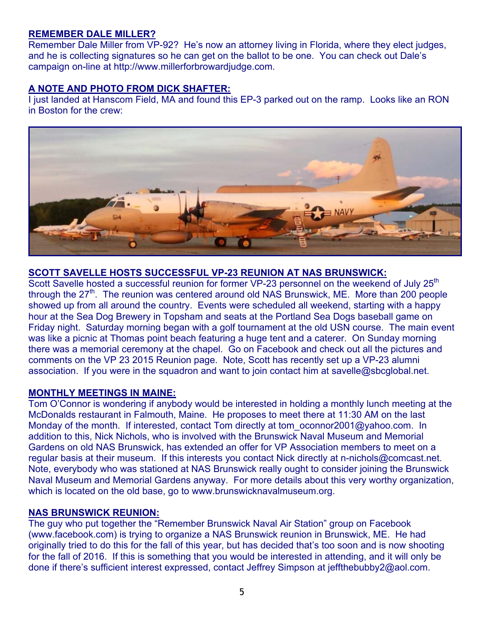#### **REMEMBER DALE MILLER?**

Remember Dale Miller from VP-92? He's now an attorney living in Florida, where they elect judges, and he is collecting signatures so he can get on the ballot to be one. You can check out Dale's campaign on-line at http://www.millerforbrowardjudge.com.

#### **A NOTE AND PHOTO FROM DICK SHAFTER:**

I just landed at Hanscom Field, MA and found this EP-3 parked out on the ramp. Looks like an RON in Boston for the crew:



#### **SCOTT SAVELLE HOSTS SUCCESSFUL VP-23 REUNION AT NAS BRUNSWICK:**

Scott Savelle hosted a successful reunion for former VP-23 personnel on the weekend of July 25<sup>th</sup> through the  $27<sup>th</sup>$ . The reunion was centered around old NAS Brunswick, ME. More than 200 people showed up from all around the country. Events were scheduled all weekend, starting with a happy hour at the Sea Dog Brewery in Topsham and seats at the Portland Sea Dogs baseball game on Friday night. Saturday morning began with a golf tournament at the old USN course. The main event was like a picnic at Thomas point beach featuring a huge tent and a caterer. On Sunday morning there was a memorial ceremony at the chapel. Go on Facebook and check out all the pictures and comments on the VP 23 2015 Reunion page. Note, Scott has recently set up a VP-23 alumni association. If you were in the squadron and want to join contact him at savelle@sbcglobal.net.

#### **MONTHLY MEETINGS IN MAINE:**

Tom O'Connor is wondering if anybody would be interested in holding a monthly lunch meeting at the McDonalds restaurant in Falmouth, Maine. He proposes to meet there at 11:30 AM on the last Monday of the month. If interested, contact Tom directly at tom\_oconnor2001@yahoo.com. In addition to this, Nick Nichols, who is involved with the Brunswick Naval Museum and Memorial Gardens on old NAS Brunswick, has extended an offer for VP Association members to meet on a regular basis at their museum. If this interests you contact Nick directly at n-nichols@comcast.net. Note, everybody who was stationed at NAS Brunswick really ought to consider joining the Brunswick Naval Museum and Memorial Gardens anyway. For more details about this very worthy organization, which is located on the old base, go to www.brunswicknavalmuseum.org.

#### **NAS BRUNSWICK REUNION:**

The guy who put together the "Remember Brunswick Naval Air Station" group on Facebook (www.facebook.com) is trying to organize a NAS Brunswick reunion in Brunswick, ME. He had originally tried to do this for the fall of this year, but has decided that's too soon and is now shooting for the fall of 2016. If this is something that you would be interested in attending, and it will only be done if there's sufficient interest expressed, contact Jeffrey Simpson at jeffthebubby2@aol.com.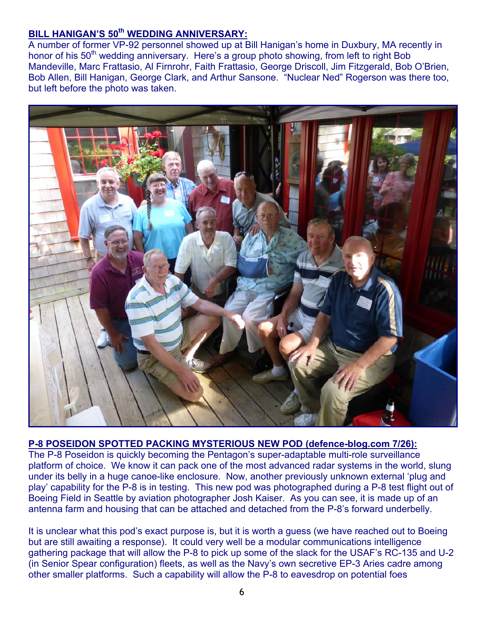### **BILL HANIGAN'S 50th WEDDING ANNIVERSARY:**

A number of former VP-92 personnel showed up at Bill Hanigan's home in Duxbury, MA recently in honor of his 50<sup>th</sup> wedding anniversary. Here's a group photo showing, from left to right Bob Mandeville, Marc Frattasio, Al Firnrohr, Faith Frattasio, George Driscoll, Jim Fitzgerald, Bob O'Brien, Bob Allen, Bill Hanigan, George Clark, and Arthur Sansone. "Nuclear Ned" Rogerson was there too, but left before the photo was taken.



#### **P-8 POSEIDON SPOTTED PACKING MYSTERIOUS NEW POD (defence-blog.com 7/26):**

The P-8 Poseidon is quickly becoming the Pentagon's super-adaptable multi-role surveillance platform of choice. We know it can pack one of the most advanced radar systems in the world, slung under its belly in a huge canoe-like enclosure. Now, another previously unknown external 'plug and play' capability for the P-8 is in testing. This new pod was photographed during a P-8 test flight out of Boeing Field in Seattle by aviation photographer Josh Kaiser. As you can see, it is made up of an antenna farm and housing that can be attached and detached from the P-8's forward underbelly.

It is unclear what this pod's exact purpose is, but it is worth a guess (we have reached out to Boeing but are still awaiting a response). It could very well be a modular communications intelligence gathering package that will allow the P-8 to pick up some of the slack for the USAF's RC-135 and U-2 (in Senior Spear configuration) fleets, as well as the Navy's own secretive EP-3 Aries cadre among other smaller platforms. Such a capability will allow the P-8 to eavesdrop on potential foes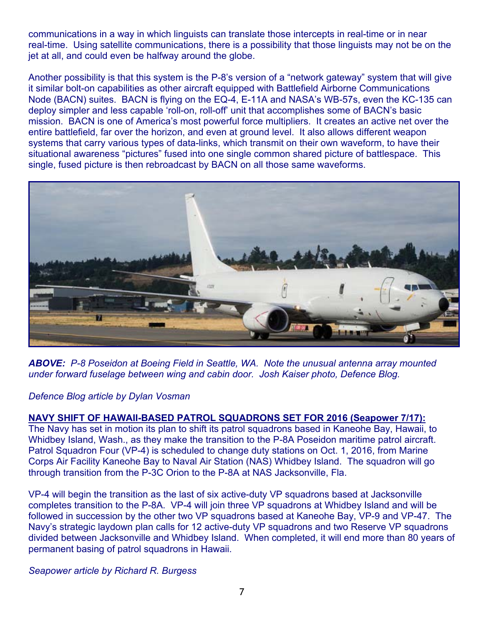communications in a way in which linguists can translate those intercepts in real-time or in near real-time. Using satellite communications, there is a possibility that those linguists may not be on the jet at all, and could even be halfway around the globe.

Another possibility is that this system is the P-8's version of a "network gateway" system that will give it similar bolt-on capabilities as other aircraft equipped with Battlefield Airborne Communications Node (BACN) suites. BACN is flying on the EQ-4, E-11A and NASA's WB-57s, even the KC-135 can deploy simpler and less capable 'roll-on, roll-off' unit that accomplishes some of BACN's basic mission. BACN is one of America's most powerful force multipliers. It creates an active net over the entire battlefield, far over the horizon, and even at ground level. It also allows different weapon systems that carry various types of data-links, which transmit on their own waveform, to have their situational awareness "pictures" fused into one single common shared picture of battlespace. This single, fused picture is then rebroadcast by BACN on all those same waveforms.



*ABOVE: P-8 Poseidon at Boeing Field in Seattle, WA. Note the unusual antenna array mounted under forward fuselage between wing and cabin door. Josh Kaiser photo, Defence Blog.*

#### *Defence Blog article by Dylan Vosman*

**NAVY SHIFT OF HAWAII-BASED PATROL SQUADRONS SET FOR 2016 (Seapower 7/17):** The Navy has set in motion its plan to shift its patrol squadrons based in Kaneohe Bay, Hawaii, to Whidbey Island, Wash., as they make the transition to the P-8A Poseidon maritime patrol aircraft. Patrol Squadron Four (VP-4) is scheduled to change duty stations on Oct. 1, 2016, from Marine Corps Air Facility Kaneohe Bay to Naval Air Station (NAS) Whidbey Island. The squadron will go through transition from the P-3C Orion to the P-8A at NAS Jacksonville, Fla.

VP-4 will begin the transition as the last of six active-duty VP squadrons based at Jacksonville completes transition to the P-8A. VP-4 will join three VP squadrons at Whidbey Island and will be followed in succession by the other two VP squadrons based at Kaneohe Bay, VP-9 and VP-47. The Navy's strategic laydown plan calls for 12 active-duty VP squadrons and two Reserve VP squadrons divided between Jacksonville and Whidbey Island. When completed, it will end more than 80 years of permanent basing of patrol squadrons in Hawaii.

#### *Seapower article by Richard R. Burgess*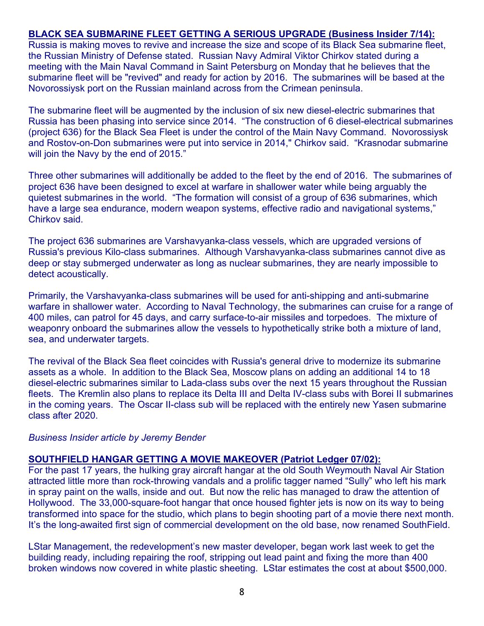#### **BLACK SEA SUBMARINE FLEET GETTING A SERIOUS UPGRADE (Business Insider 7/14):**

Russia is making moves to revive and increase the size and scope of its Black Sea submarine fleet, the Russian Ministry of Defense stated. Russian Navy Admiral Viktor Chirkov stated during a meeting with the Main Naval Command in Saint Petersburg on Monday that he believes that the submarine fleet will be "revived" and ready for action by 2016. The submarines will be based at the Novorossiysk port on the Russian mainland across from the Crimean peninsula.

The submarine fleet will be augmented by the inclusion of six new diesel-electric submarines that Russia has been phasing into service since 2014. "The construction of 6 diesel-electrical submarines (project 636) for the Black Sea Fleet is under the control of the Main Navy Command. Novorossiysk and Rostov-on-Don submarines were put into service in 2014," Chirkov said. "Krasnodar submarine will join the Navy by the end of 2015."

Three other submarines will additionally be added to the fleet by the end of 2016. The submarines of project 636 have been designed to excel at warfare in shallower water while being arguably the quietest submarines in the world. "The formation will consist of a group of 636 submarines, which have a large sea endurance, modern weapon systems, effective radio and navigational systems," Chirkov said.

The project 636 submarines are Varshavyanka-class vessels, which are upgraded versions of Russia's previous Kilo-class submarines. Although Varshavyanka-class submarines cannot dive as deep or stay submerged underwater as long as nuclear submarines, they are nearly impossible to detect acoustically.

Primarily, the Varshavyanka-class submarines will be used for anti-shipping and anti-submarine warfare in shallower water. According to Naval Technology, the submarines can cruise for a range of 400 miles, can patrol for 45 days, and carry surface-to-air missiles and torpedoes. The mixture of weaponry onboard the submarines allow the vessels to hypothetically strike both a mixture of land, sea, and underwater targets.

The revival of the Black Sea fleet coincides with Russia's general drive to modernize its submarine assets as a whole. In addition to the Black Sea, Moscow plans on adding an additional 14 to 18 diesel-electric submarines similar to Lada-class subs over the next 15 years throughout the Russian fleets. The Kremlin also plans to replace its Delta III and Delta IV-class subs with Borei II submarines in the coming years. The Oscar II-class sub will be replaced with the entirely new Yasen submarine class after 2020.

#### *Business Insider article by Jeremy Bender*

#### **SOUTHFIELD HANGAR GETTING A MOVIE MAKEOVER (Patriot Ledger 07/02):**

For the past 17 years, the hulking gray aircraft hangar at the old South Weymouth Naval Air Station attracted little more than rock-throwing vandals and a prolific tagger named "Sully" who left his mark in spray paint on the walls, inside and out. But now the relic has managed to draw the attention of Hollywood. The 33,000-square-foot hangar that once housed fighter jets is now on its way to being transformed into space for the studio, which plans to begin shooting part of a movie there next month. It's the long-awaited first sign of commercial development on the old base, now renamed SouthField.

LStar Management, the redevelopment's new master developer, began work last week to get the building ready, including repairing the roof, stripping out lead paint and fixing the more than 400 broken windows now covered in white plastic sheeting. LStar estimates the cost at about \$500,000.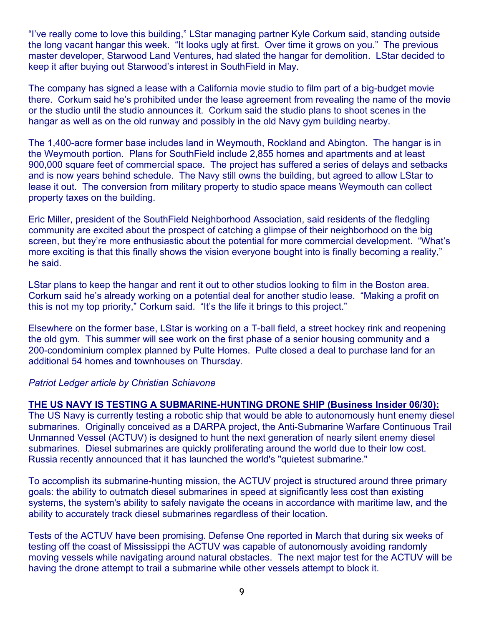"I've really come to love this building," LStar managing partner Kyle Corkum said, standing outside the long vacant hangar this week. "It looks ugly at first. Over time it grows on you." The previous master developer, Starwood Land Ventures, had slated the hangar for demolition. LStar decided to keep it after buying out Starwood's interest in SouthField in May.

The company has signed a lease with a California movie studio to film part of a big-budget movie there. Corkum said he's prohibited under the lease agreement from revealing the name of the movie or the studio until the studio announces it. Corkum said the studio plans to shoot scenes in the hangar as well as on the old runway and possibly in the old Navy gym building nearby.

The 1,400-acre former base includes land in Weymouth, Rockland and Abington. The hangar is in the Weymouth portion. Plans for SouthField include 2,855 homes and apartments and at least 900,000 square feet of commercial space. The project has suffered a series of delays and setbacks and is now years behind schedule. The Navy still owns the building, but agreed to allow LStar to lease it out. The conversion from military property to studio space means Weymouth can collect property taxes on the building.

Eric Miller, president of the SouthField Neighborhood Association, said residents of the fledgling community are excited about the prospect of catching a glimpse of their neighborhood on the big screen, but they're more enthusiastic about the potential for more commercial development. "What's more exciting is that this finally shows the vision everyone bought into is finally becoming a reality," he said.

LStar plans to keep the hangar and rent it out to other studios looking to film in the Boston area. Corkum said he's already working on a potential deal for another studio lease. "Making a profit on this is not my top priority," Corkum said. "It's the life it brings to this project."

Elsewhere on the former base, LStar is working on a T-ball field, a street hockey rink and reopening the old gym. This summer will see work on the first phase of a senior housing community and a 200-condominium complex planned by Pulte Homes. Pulte closed a deal to purchase land for an additional 54 homes and townhouses on Thursday.

#### *Patriot Ledger article by Christian Schiavone*

#### **THE US NAVY IS TESTING A SUBMARINE-HUNTING DRONE SHIP (Business Insider 06/30):**

The US Navy is currently testing a robotic ship that would be able to autonomously hunt enemy diesel submarines. Originally conceived as a DARPA project, the Anti-Submarine Warfare Continuous Trail Unmanned Vessel (ACTUV) is designed to hunt the next generation of nearly silent enemy diesel submarines. Diesel submarines are quickly proliferating around the world due to their low cost. Russia recently announced that it has launched the world's "quietest submarine."

To accomplish its submarine-hunting mission, the ACTUV project is structured around three primary goals: the ability to outmatch diesel submarines in speed at significantly less cost than existing systems, the system's ability to safely navigate the oceans in accordance with maritime law, and the ability to accurately track diesel submarines regardless of their location.

Tests of the ACTUV have been promising. Defense One reported in March that during six weeks of testing off the coast of Mississippi the ACTUV was capable of autonomously avoiding randomly moving vessels while navigating around natural obstacles. The next major test for the ACTUV will be having the drone attempt to trail a submarine while other vessels attempt to block it.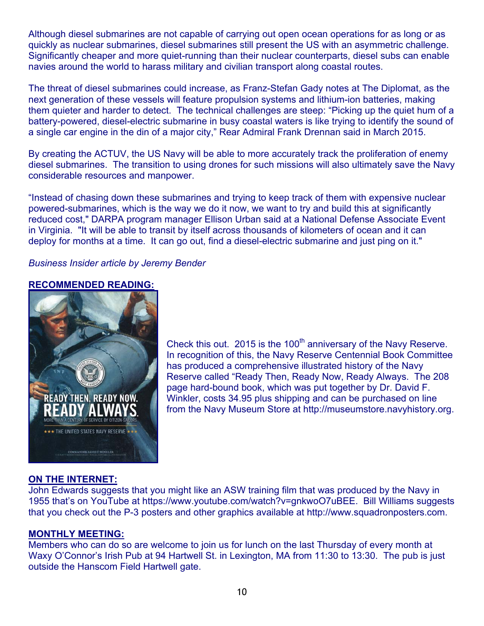Although diesel submarines are not capable of carrying out open ocean operations for as long or as quickly as nuclear submarines, diesel submarines still present the US with an asymmetric challenge. Significantly cheaper and more quiet-running than their nuclear counterparts, diesel subs can enable navies around the world to harass military and civilian transport along coastal routes.

The threat of diesel submarines could increase, as Franz-Stefan Gady notes at The Diplomat, as the next generation of these vessels will feature propulsion systems and lithium-ion batteries, making them quieter and harder to detect. The technical challenges are steep: "Picking up the quiet hum of a battery-powered, diesel-electric submarine in busy coastal waters is like trying to identify the sound of a single car engine in the din of a major city," Rear Admiral Frank Drennan said in March 2015.

By creating the ACTUV, the US Navy will be able to more accurately track the proliferation of enemy diesel submarines. The transition to using drones for such missions will also ultimately save the Navy considerable resources and manpower.

"Instead of chasing down these submarines and trying to keep track of them with expensive nuclear powered-submarines, which is the way we do it now, we want to try and build this at significantly reduced cost," DARPA program manager Ellison Urban said at a National Defense Associate Event in Virginia. "It will be able to transit by itself across thousands of kilometers of ocean and it can deploy for months at a time. It can go out, find a diesel-electric submarine and just ping on it."

*Business Insider article by Jeremy Bender* 

#### **RECOMMENDED READING:**



Check this out. 2015 is the 100<sup>th</sup> anniversary of the Navy Reserve. In recognition of this, the Navy Reserve Centennial Book Committee has produced a comprehensive illustrated history of the Navy Reserve called "Ready Then, Ready Now, Ready Always. The 208 page hard-bound book, which was put together by Dr. David F. Winkler, costs 34.95 plus shipping and can be purchased on line from the Navy Museum Store at http://museumstore.navyhistory.org.

#### **ON THE INTERNET:**

John Edwards suggests that you might like an ASW training film that was produced by the Navy in 1955 that's on YouTube at https://www.youtube.com/watch?v=gnkwoO7uBEE. Bill Williams suggests that you check out the P-3 posters and other graphics available at http://www.squadronposters.com.

#### **MONTHLY MEETING:**

Members who can do so are welcome to join us for lunch on the last Thursday of every month at Waxy O'Connor's Irish Pub at 94 Hartwell St. in Lexington, MA from 11:30 to 13:30. The pub is just outside the Hanscom Field Hartwell gate.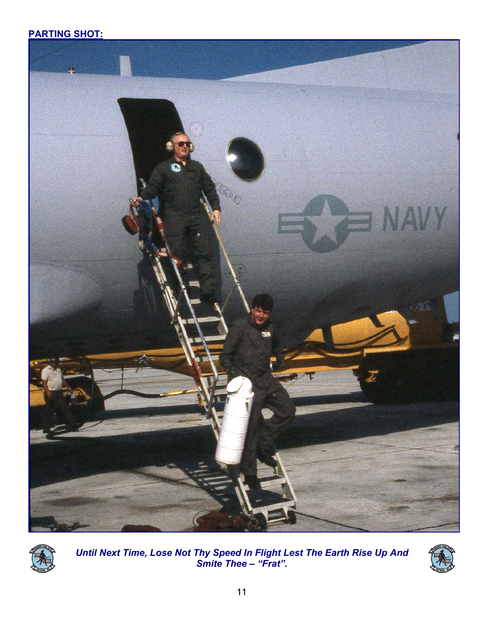## **PARTING SHOT:**





*Until Next Time, Lose Not Thy Speed In Flight Lest The Earth Rise Up And Smite Thee – "Frat".*